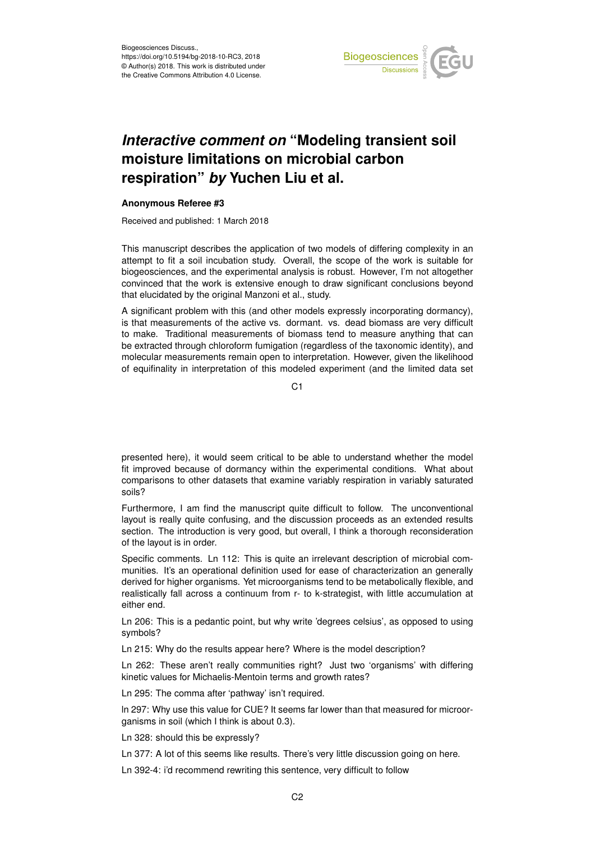

## *Interactive comment on* **"Modeling transient soil moisture limitations on microbial carbon respiration"** *by* **Yuchen Liu et al.**

## **Anonymous Referee #3**

Received and published: 1 March 2018

This manuscript describes the application of two models of differing complexity in an attempt to fit a soil incubation study. Overall, the scope of the work is suitable for biogeosciences, and the experimental analysis is robust. However, I'm not altogether convinced that the work is extensive enough to draw significant conclusions beyond that elucidated by the original Manzoni et al., study.

A significant problem with this (and other models expressly incorporating dormancy), is that measurements of the active vs. dormant. vs. dead biomass are very difficult to make. Traditional measurements of biomass tend to measure anything that can be extracted through chloroform fumigation (regardless of the taxonomic identity), and molecular measurements remain open to interpretation. However, given the likelihood of equifinality in interpretation of this modeled experiment (and the limited data set

C1

presented here), it would seem critical to be able to understand whether the model fit improved because of dormancy within the experimental conditions. What about comparisons to other datasets that examine variably respiration in variably saturated soils?

Furthermore, I am find the manuscript quite difficult to follow. The unconventional layout is really quite confusing, and the discussion proceeds as an extended results section. The introduction is very good, but overall, I think a thorough reconsideration of the layout is in order.

Specific comments. Ln 112: This is quite an irrelevant description of microbial communities. It's an operational definition used for ease of characterization an generally derived for higher organisms. Yet microorganisms tend to be metabolically flexible, and realistically fall across a continuum from r- to k-strategist, with little accumulation at either end.

Ln 206: This is a pedantic point, but why write 'degrees celsius', as opposed to using symbols?

Ln 215: Why do the results appear here? Where is the model description?

Ln 262: These aren't really communities right? Just two 'organisms' with differing kinetic values for Michaelis-Mentoin terms and growth rates?

Ln 295: The comma after 'pathway' isn't required.

ln 297: Why use this value for CUE? It seems far lower than that measured for microorganisms in soil (which I think is about 0.3).

Ln 328: should this be expressly?

Ln 377: A lot of this seems like results. There's very little discussion going on here.

Ln 392-4: i'd recommend rewriting this sentence, very difficult to follow